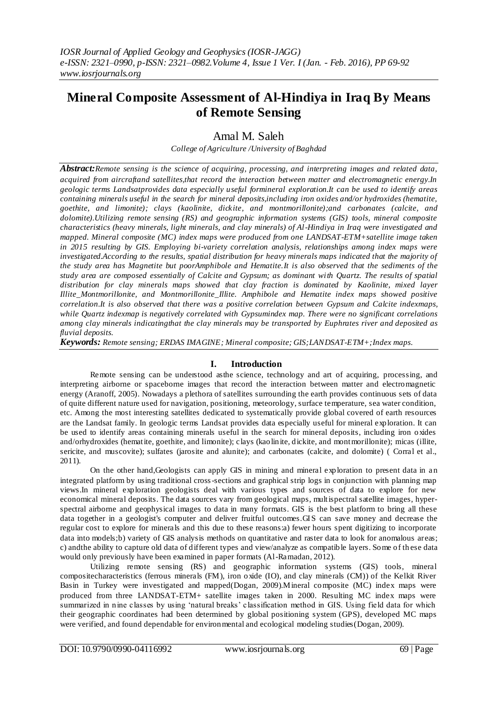# **Mineral Composite Assessment of Al-Hindiya in Iraq By Means of Remote Sensing**

## Amal M. Saleh

*College of Agriculture /University of Baghdad*

*Abstract:Remote sensing is the science of acquiring, processing, and interpreting images and related data, acquired from aircraftand satellites,that record the interaction between matter and electromagnetic energy.In geologic terms Landsatprovides data especially useful formineral exploration.It can be used to identify areas containing minerals useful in the search for mineral deposits,including iron oxides and/or hydroxides (hematite, goethite, and limonite); clays (kaolinite, dickite, and montmorillonite);and carbonates (calcite, and dolomite).Utilizing remote sensing (RS) and geographic information systems (GIS) tools, mineral composite characteristics (heavy minerals, light minerals, and clay minerals) of Al-Hindiya in Iraq were investigated and mapped. Mineral composite (MC) index maps were produced from one LANDSAT-ETM+satellite image taken in 2015 resulting by GIS. Employing bi-variety correlation analysis, relationships among index maps were investigated.According to the results, spatial distribution for heavy minerals maps indicated that the majority of the study area has Magnetite but poorAmphibole and Hematite.It is also observed that the sediments of the study area are composed essentially of Calcite and Gypsum; as dominant with Quartz. The results of spatial distribution for clay minerals maps showed that clay fraction is dominated by Kaolinite, mixed layer Illite\_Montmorillonite, and Montmorillonite\_Illite. Amphibole and Hematite index maps showed positive correlation.It is also observed that there was a positive correlation between Gypsum and Calcite indexmaps, while Quartz indexmap is negatively correlated with Gypsumindex map. There were no significant correlations among clay minerals indicatingthat the clay minerals may be transported by Euphrates river and deposited as fluvial deposits.*

*Keywords: Remote sensing; ERDAS IMAGINE; Mineral composite; GIS;LANDSAT-ETM+;Index maps.*

### **I. Introduction**

Remote sensing can be understood asthe science, technology and art of acquiring, processing, and interpreting airborne or spaceborne images that record the interaction between matter and electromagnetic energy (Aranoff, 2005). Nowadays a plethora of satellites surrounding the earth provides continuous sets of data of quite different nature used for navigation, positioning, meteorology, surface temperature, sea water condition, etc. Among the most interesting satellites dedicated to systematically provide global covered of earth resources are the Landsat family. In geologic terms Landsat provides data especially useful for mineral exploration. It can be used to identify areas containing minerals useful in the search for mineral deposits, including iron oxides and/orhydroxides (hematite, goethite, and limonite); clays (kaolinite, dickite, and montmorillonite); micas (illite, sericite, and muscovite); sulfates (jarosite and alunite); and carbonates (calcite, and dolomite) (Corral et al., 2011).

On the other hand,Geologists can apply GIS in mining and mineral exploration to present data in a n integrated platform by using traditional cross-sections and graphical strip logs in conjunction with planning map views.In mineral exploration geologists deal with various types and sources of data to explore for new economical mineral deposits. The data sources vary from geological maps, multispectral satellite images, hyperspectral airborne and geophysical images to data in many formats. GIS is the best platform to bring all these data together in a geologist's computer and deliver fruitful outcomes.GIS can save money and decrease the regular cost to explore for minerals and this due to these reasons:a) fewer hours spent digitizing to incorporate data into models;b) variety of GIS analysis methods on quantitative and raster data to look for anomalous areas; c) andthe ability to capture old data of different types and view/analyze as compatible layers. Some of th ese data would only previously have been examined in paper formats (Al-Ramadan, 2012).

Utilizing remote sensing (RS) and geographic information systems (GIS) tools, mineral compositecharacteristics (ferrous minerals (FM), iron oxide (IO), and clay minerals (CM)) of the Kelkit River Basin in Turkey were investigated and mapped(Dogan, 2009).Mineral composite (MC) index maps were produced from three LANDSAT-ETM+ satellite images taken in 2000. Resulting MC index maps were summarized in nine classes by using 'natural breaks' classification method in GIS. Using field data for which their geographic coordinates had been determined by global positioning system (GPS), developed MC maps were verified, and found dependable for environmental and ecological modeling studies(Dogan, 2009).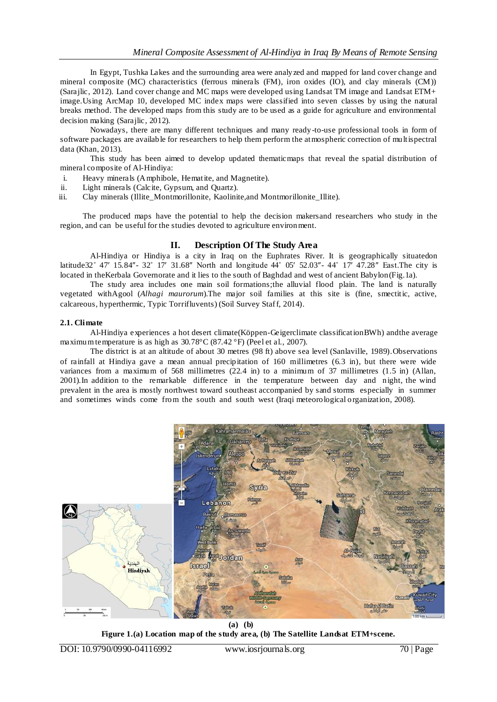In Egypt, Tushka Lakes and the surrounding area were analyzed and mapped for land cover change and mineral composite (MC) characteristics (ferrous minerals (FM), iron oxides (IO), and clay minerals (CM)) (Sarajlic, 2012). Land cover change and MC maps were developed using Landsat TM image and Landsat ETM+ image.Using ArcMap 10, developed MC index maps were classified into seven classes by using the natural breaks method. The developed maps from this study are to be used as a guide for agriculture and environmental decision making (Sarajlic, 2012).

Nowadays, there are many different techniques and many ready-to-use professional tools in form of software packages are available for researchers to help them perform the atmospheric correction of multispectral data (Khan, 2013).

This study has been aimed to develop updated thematicmaps that reveal the spatial distribution of mineral composite of Al-Hindiya:

- i. Heavy minerals (Amphibole, Hematite, and Magnetite).<br>ii. Light minerals (Calcite, Gypsum, and Quartz).
- ii. Light minerals (Calcite, Gypsum, and Quartz).<br>iii. Clay minerals (Illite Montmorillonite, Kaolinit
- Clay minerals (Illite\_Montmorillonite, Kaolinite,and Montmorillonite\_Illite).

The produced maps have the potential to help the decision makersand researchers who study in the region, and can be useful for the studies devoted to agriculture environment.

### **II. Description Of The Study Area**

Al-Hindiya or Hindiya is a city in [Iraq](http://en.wikipedia.org/wiki/Iraq) on the [Euphrates River.](http://en.wikipedia.org/wiki/Euphrates_River) It is geographically situatedon latitude32° 47′ 15.84″- 32° 17′ 31.68″ North and longitude 44° 05′ 52.03″- 44° 17′ 47.28″ East.The city is located in th[eKerbala Governorate](http://en.wikipedia.org/wiki/Kerbala_Governorate) and it lies to the south of Baghdad and west of ancient Babylon(Fig.1a).

The study area includes one main soil formations;the alluvial flood plain. The land is naturally vegetated withAgool (*Alhagi maurorum*).The major soil families at this site is (fine, smectitic, active, calcareous, hyperthermic, Typic Torrifluvents) (Soil Survey Staff, 2014).

### **2.1. Climate**

Al-Hindiya experiences [a hot desert climate](https://en.wikipedia.org/wiki/Hot_desert_climate)[\(Köppen-Geigerclimate classificationB](https://en.wikipedia.org/wiki/K%C3%B6ppen_climate_classification)Wh) andthe average maximum temperature is as high as 30.78°C (87.42 °F) (Peel et al., 2007).

The district is at an altitude of about 30 metres (98 ft) above sea level (Sanlaville, 1989).Observations of rainfall at Hindiya gave a mean annual precipitation of 160 millimetres (6.3 in), but there were wide variances from a maximum of 568 millimetres (22.4 in) to a minimum of 37 millimetres (1.5 in) (Allan, 2001).In addition to the remarkable difference in the temperature between day and night, the wind prevalent in the area is mostly northwest toward southeast accompanied by sand storms especially in summer and sometimes winds come from the south and south west (Iraqi meteorological organization, 2008).



**(a) (b) Figure 1.(a) Location map of the study area, (b) The Satellite Landsat ETM+scene.**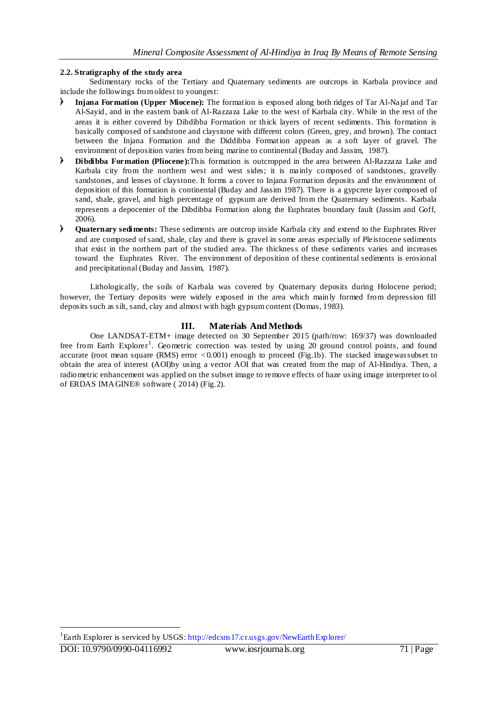### **2.2. Stratigraphy of the study area**

Sedimentary rocks of the Tertiary and Quaternary sediments are outcrops in Karbala province and include the followings from oldest to youngest:

- **Injana Formation (Upper Miocene):** The formation is exposed along both ridges of Tar Al-Najaf and Tar Al-Sayid, and in the eastern bank of Al-Razzaza Lake to the west of Karbala city. While in the rest of the areas it is either covered by Dibdibba Formation or thick layers of recent sediments. This formation is basically composed of sandstone and claystone with different colors (Green, grey, and brown). The contact between the Injana Formation and the Diddibba Formation appears as a soft layer of gravel. The environment of deposition varies from being marine to continental (Buday and Jassim, 1987).
- **Dibdibba Formation (Pliocene):**This formation is outcropped in the area between Al-Razzaza Lake and Karbala city from the northern west and west sides; it is mainly composed of sandstones, gravelly sandstones, and lenses of claystone. It forms a cover to Injana Formation deposits and the environment of deposition of this formation is continental (Buday and Jassim 1987). There is a gypcrete layer composed of sand, shale, gravel, and high percentage of gypsum are derived from the Quaternary sediments. Karbala represents a depocenter of the Dibdibba Formation along the Euphrates boundary fault (Jassim and Goff,  $2006$ ).
- **Quaternary sediments:** These sediments are outcrop inside Karbala city and extend to the Euphrates River and are composed of sand, shale, clay and there is gravel in some areas especially of Pleistocene sediments that exist in the northern part of the studied area. The thickness of these sediments varies and increases toward the Euphrates River. The environment of deposition of these continental sediments is erosional and precipitational (Buday and Jassim, 1987).

Lithologically, the soils of Karbala was covered by Quaternary deposits during Holocene period; however, the Tertiary deposits were widely exposed in the area which mainly formed from depression fill deposits such as silt, sand, clay and almost with high gypsum content (Domas, 1983).

### **III. Materials And Methods**

One LANDSAT-ETM+ image detected on 30 September 2015 (path/row: 169/37) was downloaded free from Earth Explorer<sup>1</sup>. Geometric correction was tested by using 20 ground control points, and found accurate (root mean square (RMS) error *<*0*.*001) enough to proceed (Fig.1b). The stacked imagewassubset to obtain the area of interest (AOI)by using a vector AOI that was created from the map of Al-Hindiya. Then, a radiometric enhancement was applied on the subset image to remove effects of haze using image interpreter to ol of ERDAS IMAGINE® software ( 2014) (Fig.2).

 $\overline{a}$ 

<sup>&</sup>lt;sup>1</sup>Earth Explorer is serviced by USGS: http://edcsns17.cr.usgs.gov/NewEarthExplorer/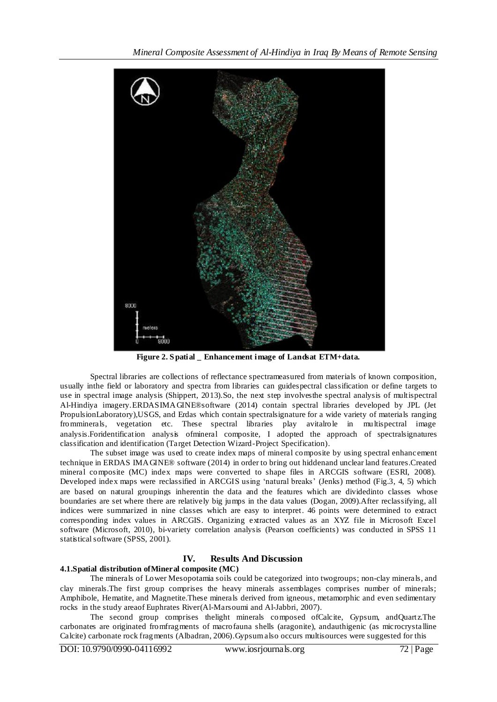

**Figure 2. S patial \_ Enhancement image of Landsat ETM+data.**

Spectral libraries are collections of reflectance spectrameasured from materials of known composition, usually inthe field or laboratory and spectra from libraries can guidespectral classification or define targets to use in spectral image analysis (Shippert, 2013).So, the next step involvesthe spectral analysis of multispectral Al-Hindiya imagery.ERDASIMAGINE®software (2014) contain spectral libraries developed by JPL (Jet PropulsionLaboratory),USGS, and Erdas which contain spectralsignature for a wide variety of materials ranging fromminerals, vegetation etc. These spectral libraries play avitalrole in multispectral image analysis.Foridentification analysis ofmineral composite, I adopted the approach of spectralsignatures classification and identification (Target Detection Wizard-Project Specification).

The subset image was used to create index maps of mineral composite by using spectral enhanc ement technique in ERDAS IMAGINE® software (2014) in order to bring out hiddenand unclear land features.Created mineral composite (MC) index maps were converted to shape files in ARCGIS software (ESRI, 2008). Developed index maps were reclassified in ARCGIS using 'natural breaks' (Jenks) method (Fig.3, 4, 5) which are based on natural groupings inherentin the data and the features which are dividedinto classes whose boundaries are set where there are relatively big jumps in the data values (Dogan, 2009).After reclassifying, all indices were summarized in nine classes which are easy to interpret. 46 points were determined to extract corresponding index values in ARCGIS. Organizing extracted values as an XYZ file in Microsoft Excel software (Microsoft, 2010), bi-variety correlation analysis (Pearson coefficients) was conducted in SPSS 11 statistical software (SPSS, 2001).

### **IV. Results And Discussion**

### **4.1.Spatial distribution ofMineral composite (MC)**

The minerals of Lower Mesopotamia soils could be categorized into twogroups; non-clay minerals, and clay minerals.The first group comprises the heavy minerals assemblages comprises number of minerals; Amphibole, Hematite, and Magnetite.These minerals derived from igneous, metamorphic and even sedimentary rocks in the study areaof Euphrates River(Al-Marsoumi and Al-Jabbri, 2007).

The second group comprises thelight minerals composed ofCalcite, Gypsum, andQuartz.The carbonates are originated fromfragments of macrofauna shells (aragonite), andauthigenic (as microcrysta lline Calcite) carbonate rock fragments (Albadran, 2006).Gypsum also occurs multisources were suggested for this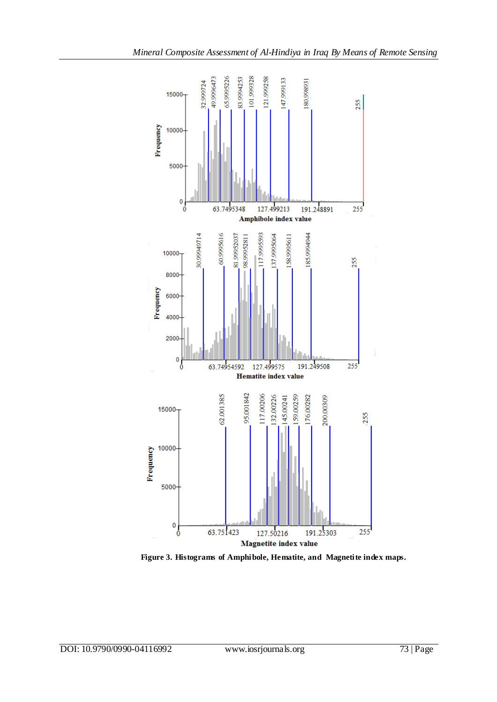

 **Figure 3. Histograms of Amphibole, Hematite, and Magnetite index maps.**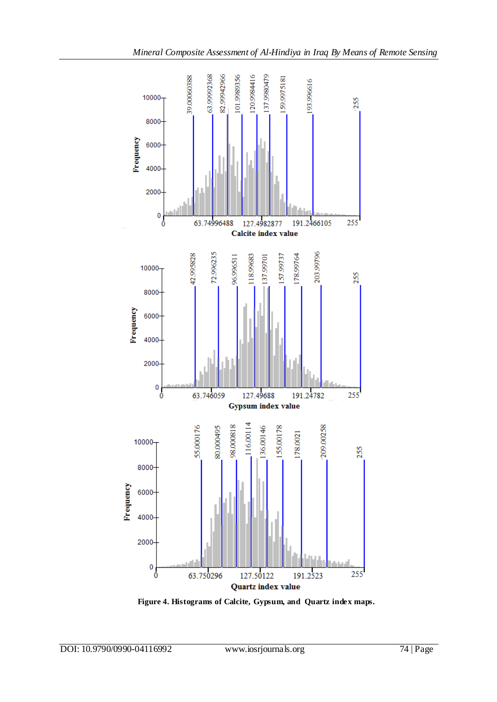

 **Figure 4. Histograms of Calcite, Gypsum, and Quartz index maps.**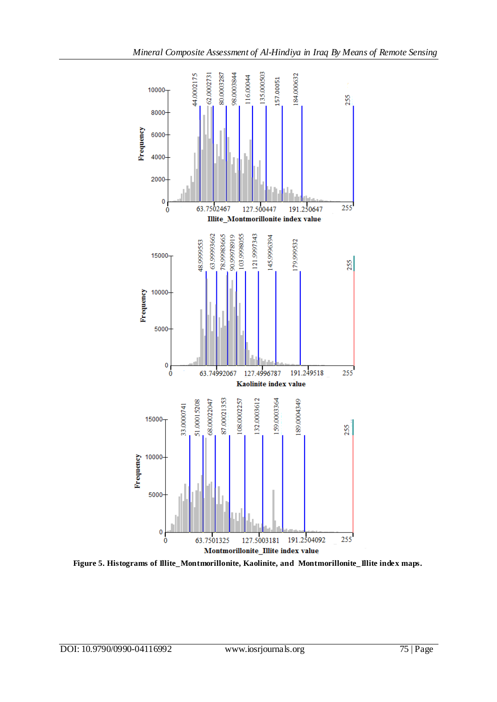

**Figure 5. Histograms of Illite\_Montmorillonite, Kaolinite, and Montmorillonite\_Illite index maps.**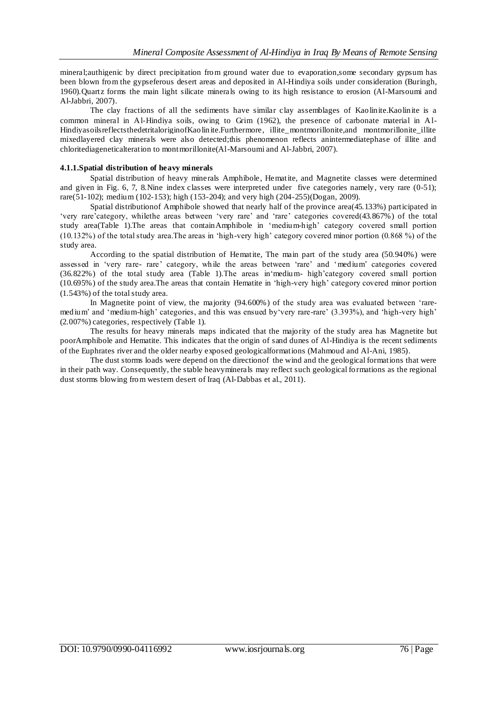mineral;authigenic by direct precipitation from ground water due to evaporation,some secondary gypsum has been blown from the gypseferous desert areas and deposited in Al-Hindiya soils under consideration (Buringh, 1960).Quartz forms the main light silicate minerals owing to its high resistance to erosion (Al-Marsoumi and Al-Jabbri, 2007).

The clay fractions of all the sediments have similar clay assemblages of Kaolinite.Kaolinite is a common mineral in Al-Hindiya soils, owing to Grim (1962), the presence of carbonate material in Al-HindiyasoilsreflectsthedetritaloriginofKaolinite.Furthermore, illite\_montmorillonite,and montmorillonite\_illite mixedlayered clay minerals were also detected;this phenomenon reflects anintermediatephase of illite and chloritediageneticalteration to montmorillonite(Al-Marsoumi and Al-Jabbri, 2007).

### **4.1.1.Spatial distribution of heavy minerals**

Spatial distribution of heavy minerals Amphibole, Hematite, and Magnetite classes were determined and given in Fig. 6, 7, 8.Nine index classes were interpreted under five categories namely, very rare (0-51); rare(51-102); medium (102-153); high (153-204); and very high (204-255)(Dogan, 2009).

Spatial distributionof Amphibole showed that nearly half of the province area(45.133%) participated in ‗very rare'category, whilethe areas between ‗very rare' and ‗rare' categories covered(43.867%) of the total study area(Table 1). The areas that contain Amphibole in 'medium-high' category covered small portion  $(10.132\%)$  of the total study area. The areas in 'high-very high' category covered minor portion  $(0.868\%)$  of the study area.

According to the spatial distribution of Hematite, The main part of the study area (50.940%) were assessed in 'very rare- rare' category, while the areas between 'rare' and 'medium' categories covered  $(36.822\%)$  of the total study area (Table 1). The areas in medium- high category covered small portion (10.695%) of the study area.The areas that contain Hematite in ‗high-very high' category covered minor portion (1.543%) of the total study area.

In Magnetite point of view, the majority  $(94.600%)$  of the study area was evaluated between 'raremedium' and 'medium-high' categories, and this was ensued by very rare-rare' (3.393%), and 'high-very high' (2.007%) categories, respectively (Table 1).

The results for heavy minerals maps indicated that the majority of the study area has Magnetite but poorAmphibole and Hematite. This indicates that the origin of sand dunes of Al-Hindiya is the recent sediments of the Euphrates river and the older nearby exposed geologicalformations (Mahmoud and Al-Ani, 1985).

The dust storms loads were depend on the directionof the wind and the geological formations that were in their path way. Consequently, the stable heavyminerals may reflect such geological formations as the regional dust storms blowing from western desert of Iraq (Al-Dabbas et al., 2011).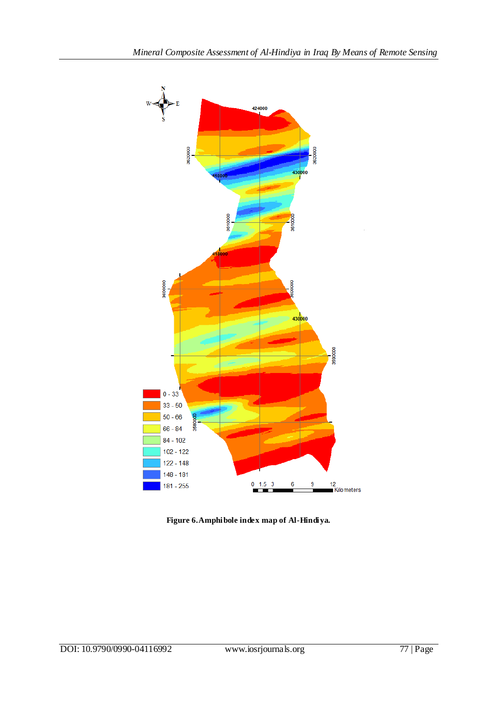

**Figure 6.Amphibole index map of Al-Hindiya.**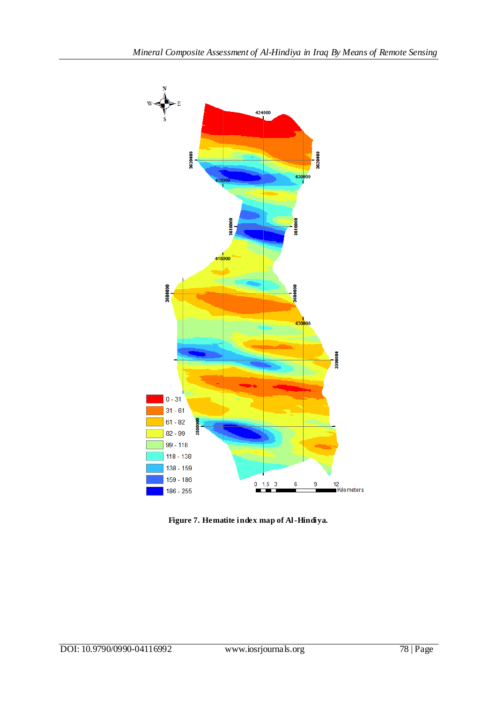

**Figure 7. Hematite index map of Al-Hindiya.**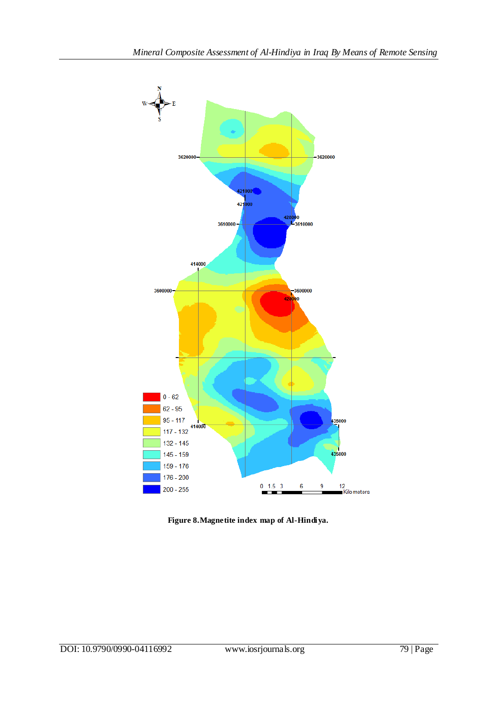

**Figure 8.Magnetite index map of Al-Hindiya.**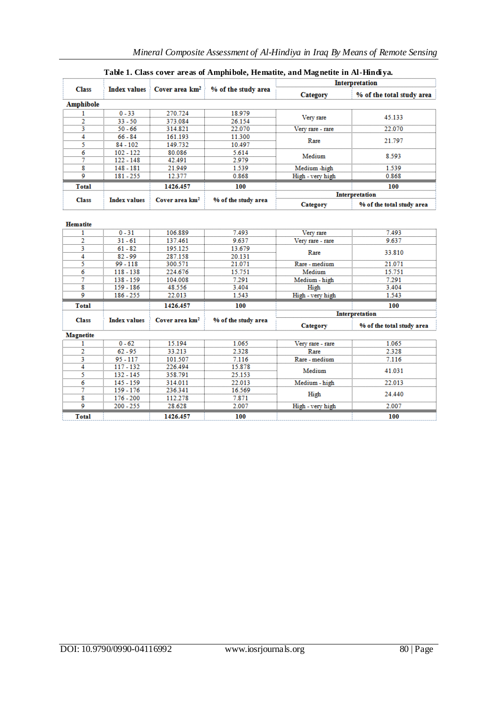|                 | Table 1. Class cover areas of Amphibole, Hematite, and Magnetite in Al-Hindiya. |                            |                                                                    |                       |                           |  |  |
|-----------------|---------------------------------------------------------------------------------|----------------------------|--------------------------------------------------------------------|-----------------------|---------------------------|--|--|
|                 |                                                                                 |                            | Index values $\angle$ Cover area $\rm km^2$<br>% of the study area | <b>Interpretation</b> |                           |  |  |
| <b>Class</b>    |                                                                                 |                            |                                                                    | Category              | % of the total study area |  |  |
| Amphibole       |                                                                                 |                            |                                                                    |                       |                           |  |  |
|                 | $0 - 33$                                                                        | 270.724                    | 18.979                                                             |                       |                           |  |  |
|                 | $33 - 50$                                                                       | 373.084                    | 26.154                                                             | Very rare             | 45.133                    |  |  |
|                 | $50 - 66$                                                                       | 314.821                    | 22.070                                                             | Very rare - rare      | 22.070                    |  |  |
|                 | $66 - 84$                                                                       | 161.193                    | 11.300                                                             | Rare                  |                           |  |  |
|                 | $84 - 102$                                                                      | 149.732                    | 10.497                                                             |                       | 21.797                    |  |  |
|                 | $102 - 122$                                                                     | 80.086                     | 5.614                                                              |                       |                           |  |  |
|                 | $122 - 148$                                                                     | 42.491                     | 2.979                                                              | Medium                | 8.593                     |  |  |
|                 | 148 - 181                                                                       | 21.949                     | 1.539                                                              | Medium-high           | 1.539                     |  |  |
|                 | 181 - 255                                                                       | 12.377                     | 0.868                                                              | High - very high      | 0.868                     |  |  |
| <b>Total</b>    |                                                                                 | 1426.457                   | 100                                                                |                       | 100                       |  |  |
|                 |                                                                                 |                            |                                                                    | Interpretation        |                           |  |  |
| <b>Class</b>    | <b>Index values</b>                                                             | Cover area km <sup>2</sup> | % of the study area                                                | Category              | % of the total study area |  |  |
|                 |                                                                                 |                            |                                                                    |                       |                           |  |  |
| <b>Hematite</b> |                                                                                 |                            |                                                                    |                       |                           |  |  |
|                 | $0 - 31$                                                                        | 106.889                    | 7.493                                                              | Very rare             | 7.493                     |  |  |
|                 | $31 - 61$                                                                       | 137.461                    | 9.637                                                              | Very rare - rare      | 9.637                     |  |  |
|                 | $61 - 82$                                                                       | 195.125                    | 13.679                                                             | Rare                  | 33.810                    |  |  |
|                 | $82 - 99$                                                                       | 287.158                    | 20.131<br>21.071                                                   |                       |                           |  |  |
|                 | $99 - 118$                                                                      | 300.571                    |                                                                    | Rare - medium         | 21.071                    |  |  |
|                 | $118 - 138$                                                                     | 224.676                    | 15751                                                              | Medium                | 15751                     |  |  |
|                 | 138 - 159                                                                       | 104.008                    | 7.291                                                              | Medium - high         | 7.291                     |  |  |

3.404

1.543

100

% of the study area

1.065

2.328<br>7.116

15.878

25.153<br>22.013

16.569

7.871

2.007

100

High

High - very high

Category

Very rare - rare

Rare

Rare - medium

Medium

Medium - high

High

High - very high

3.404

1.543 100

% of the total study area

1.065

2.328

 $7.116$ 

41.031

22.013

24.440

2.007

100

Interpretation

## DOI: 10.9790/0990-04116992 www.iosrjournals.org 80 | Page

 $\overline{\mathbf{8}}$ 

ۊ

**Total** 

Class

Magnetite

ï

2

3

 $\overline{4}$ 

5

 $rac{6}{7}$ 

 $\overline{\mathbf{8}}$ 

9

**Total** 

 $159 - 186$ 

 $186 - 255$ 

**Index values** 

 $0 - 62$ 

 $62 - 95$ 

 $95 - 117$ 

 $117 - 132$ 

 $\frac{132 - 145}{145 - 159}$ 

 $159 - 176$ 

 $\frac{176 - 200}{200 - 255}$ 

48.556

22.013

1426.457

Cover area km<sup>2</sup>

15.194

33.213

101.507

226.494

358.791 314.011

236.341

112.278

28.628

1426.457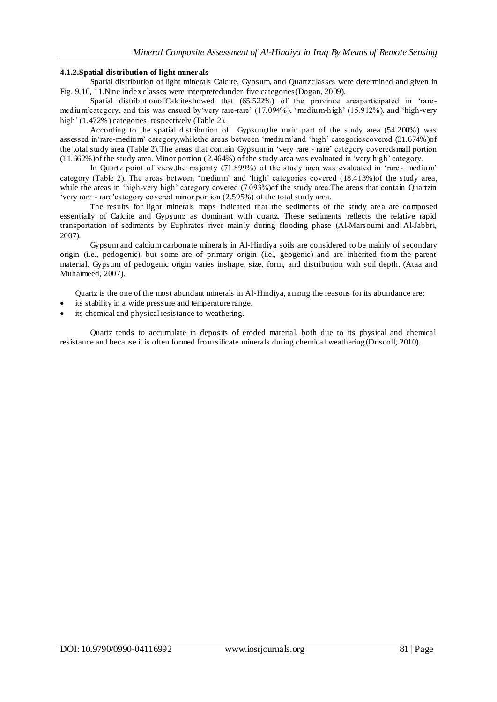### **4.1.2.Spatial distribution of light minerals**

Spatial distribution of light minerals Calcite, Gypsum, and Quartzclasses were determined and given in Fig. 9,10, 11.Nine index classes were interpretedunder five categories(Dogan, 2009).

Spatial distribution of Calciteshowed that  $(65.522\%)$  of the province areaparticipated in 'raremedium'category, and this was ensued by 'very rare-rare' (17.094%), 'medium-high' (15.912%), and 'high-very high' (1.472%) categories, respectively (Table 2).

According to the spatial distribution of Gypsum,the main part of the study area (54.200%) was assessed in 'rare-medium' category, while the areas between 'medium'and 'high' categoriescovered (31.674%) of the total study area (Table 2). The areas that contain Gypsum in 'very rare - rare' category coveredsmall portion  $(11.662\%)$  of the study area. Minor portion  $(2.464\%)$  of the study area was evaluated in 'very high' category.

In Quartz point of view, the majority (71.899%) of the study area was evaluated in 'rare- medium' category (Table 2). The areas between 'medium' and 'high' categories covered (18.413%)of the study area, while the areas in 'high-very high' category covered (7.093%)of the study area.The areas that contain Quartzin ‗very rare - rare'category covered minor portion (2.595%) of the total study area.

The results for light minerals maps indicated that the sediments of the study are a are composed essentially of Calcite and Gypsum; as dominant with quartz. These sediments reflects the relative rapid transportation of sediments by Euphrates river mainly during flooding phase (Al-Marsoumi and Al-Jabbri, 2007).

Gypsum and calcium carbonate minerals in Al-Hindiya soils are considered to be mainly of secondary origin (i.e., pedogenic), but some are of primary origin (i.e., geogenic) and are inherited from the parent material. Gypsum of pedogenic origin varies inshape, size, form, and distribution with soil depth. (Ataa and Muhaimeed, 2007).

Quartz is the one of the most abundant minerals in Al-Hindiya, among the reasons for its abundance are:

- its stability in a wide pressure and temperature range.
- its chemical and physical resistance to weathering.

Quartz tends to accumulate in deposits of eroded material, both due to its physical and chemical resistance and because it is often formed from silicate minerals during chemical weathering (Driscoll, 2010).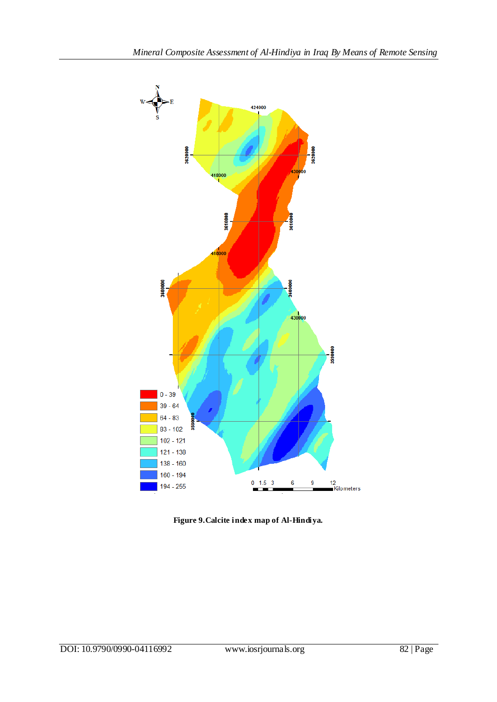

**Figure 9.Calcite index map of Al-Hindiya.**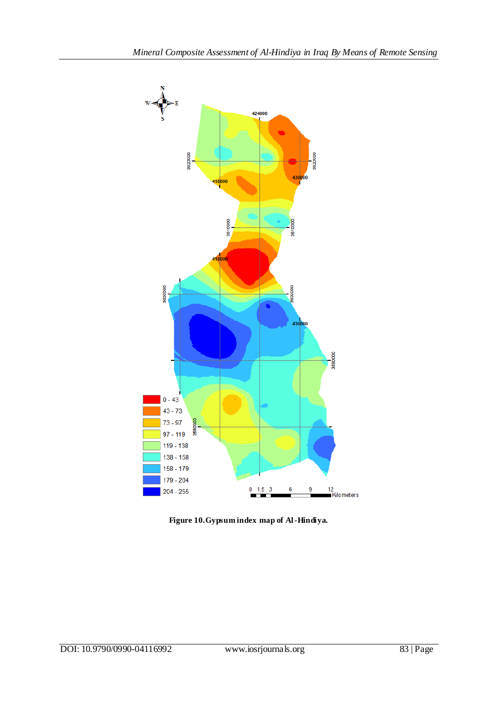

**Figure 10.Gypsum index map of Al-Hindiya.**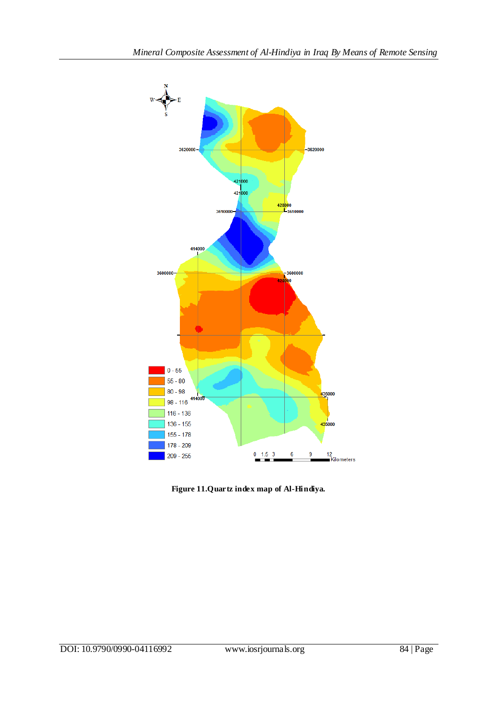

**Figure 11.Quartz index map of Al-Hindiya.**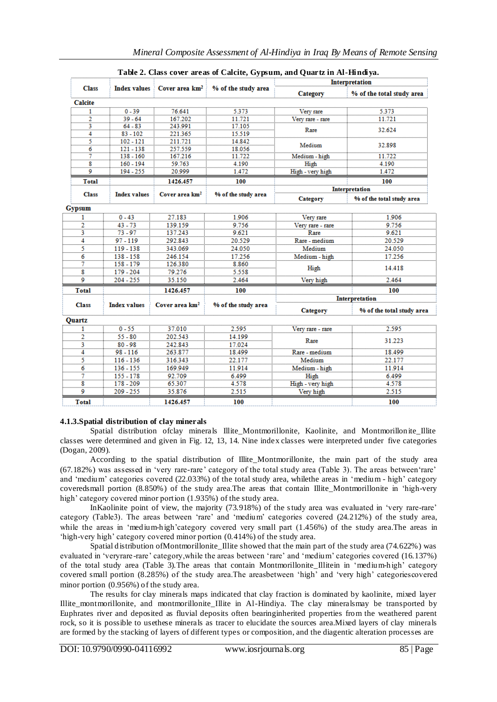| <b>Class</b>            |                     | Index values $\frac{1}{2}$ Cover area $\mathrm{km^2}$ |                     | <b>Interpretation</b> |                           |  |
|-------------------------|---------------------|-------------------------------------------------------|---------------------|-----------------------|---------------------------|--|
|                         |                     |                                                       | % of the study area | <b>Category</b>       | % of the total study area |  |
| <b>Calcite</b>          |                     |                                                       |                     |                       |                           |  |
|                         | $0 - 39$            | 76.641                                                | 5.373               | Very rare             | 5.373                     |  |
| $\frac{1}{2}$           | $39 - 64$           | 167.202                                               | 11.721              | Very rare - rare      | 11.721                    |  |
| $\bar{3}$               | $64 - 83$           | 243.991                                               | 17.105              | Rare                  | 32.624                    |  |
| $\overline{4}$          | $83 - 102$          | 221.365                                               | 15.519              |                       |                           |  |
| 5.                      | $102 - 121$         | 211.721                                               | 14.842              | Medium                | 32.898                    |  |
| 6                       | $121 - 138$         | 257.559                                               | 18.056              |                       |                           |  |
| 7                       | $138 - 160$         | 167.216                                               | 11.722              | Medium - high         | 11.722                    |  |
| 8                       | $160 - 194$         | 59.763                                                | 4.190               | High                  | 4.190                     |  |
| ö                       | 194 - 255           | 20.999                                                | 1.472               | High - very high      | 1.472                     |  |
| <b>Total</b>            |                     | 1426.457                                              | 100                 |                       | 100                       |  |
|                         |                     |                                                       |                     |                       | Interpretation            |  |
| <b>Class</b>            | <b>Index values</b> | Cover area km <sup>2</sup>                            | % of the study area | Category              | % of the total study area |  |
| Gypsum                  |                     |                                                       |                     |                       |                           |  |
| ī                       | $0 - 43$            | 27.183                                                | 1.906               | Very rare             | 1.906                     |  |
| 2                       | $43 - 73$           | 139.159                                               | 9.756               | Very rare - rare      | 9.756                     |  |
| 3                       | $73 - 97$           | 137.243                                               | 9.621               | Rare                  | 9.621                     |  |
| $\frac{1}{4}$           | $97 - 119$          | 292.843                                               | 20.529              | Rare - medium         | 20.529                    |  |
| 5                       | 119 - 138           | 343.069                                               | 24.050              | Medium                | 24.050                    |  |
| 6                       | $138 - 158$         | 246.154                                               | 17.256              | Medium - high         | 17.256                    |  |
| $\overline{7}$          | $158 - 179$         | 126.380                                               | 8.860               |                       |                           |  |
| 8                       | 179 - 204           | 79.276                                                | 5.558               | High                  | 14.418                    |  |
| 9                       | $204 - 255$         | 35.150                                                | 2.464               | Very high             | 2.464                     |  |
| <b>Total</b>            |                     | 1426.457                                              | 100                 |                       | 100                       |  |
|                         |                     |                                                       |                     |                       | <b>Interpretation</b>     |  |
| <b>Class</b>            | <b>Index values</b> | Cover area km <sup>2</sup>                            | % of the study area | Category              | % of the total study area |  |
| <b>Quartz</b>           |                     |                                                       |                     |                       |                           |  |
| 1                       | $0 - 55$            | 37.010                                                | 2.595               | Very rare - rare      | 2.595                     |  |
| $\overline{a}$          | $55 - 80$           | 202.543                                               | 14.199              |                       |                           |  |
| 3                       | $80 - 98$           | 242.843                                               | 17.024              | Rare                  | 31.223                    |  |
| 4                       | $98 - 116$          | 263.877                                               | 18.499              | Rare - medium         | 18.499                    |  |
| $\frac{1}{5}$           | $116 - 136$         | 316.343                                               | 22.177              | Medium                | 22.177                    |  |
| 6                       | $136 - 155$         | 169.949                                               | 11.914              | Medium - high         | 11.914                    |  |
| 7                       | $155 - 178$         | 92.709                                                | 6.499               | High                  | 6.499                     |  |
| $\overline{\mathbf{g}}$ | $178 - 209$         | 65.307                                                | 4.578               | High - very high      | 4.578                     |  |
| 9                       | $209 - 255$         | 35.876                                                | 2.515               | Very high             | 2.515                     |  |
|                         |                     |                                                       |                     |                       |                           |  |

### **Table 2. Class cover areas of Calcite, Gypsum, and Quartz in Al-Hindiya.**

### **4.1.3.Spatial distribution of clay minerals**

Spatial distribution ofclay minerals Illite\_Montmorillonite, Kaolinite, and Montmorillonite\_Illite classes were determined and given in Fig. 12, 13, 14. Nine index classes were interpreted under five categories (Dogan, 2009).

According to the spatial distribution of Illite\_Montmorillonite, the main part of the study area (67.182%) was assessed in 'very rare-rare' category of the total study area (Table 3). The areas between 'rare' and 'medium' categories covered (22.033%) of the total study area, whilethe areas in 'medium - high' category coveredsmall portion (8.850%) of the study area.The areas that contain Illite\_Montmorillonite in ‗high-very high' category covered minor portion  $(1.935%)$  of the study area.

In Kaolinite point of view, the majority (73.918%) of the study area was evaluated in 'very rare-rare' category (Table3). The areas between 'rare' and 'medium' categories covered (24.212%) of the study area, while the areas in 'medium-high'category covered very small part (1.456%) of the study area.The areas in ‗high-very high' category covered minor portion (0.414%) of the study area.

Spatial distribution ofMontmorillonite\_Illite showed that the main part of the study area (74.622%) was evaluated in 'veryrare -rare' category, while the areas between 'rare' and 'medium' categories covered (16.137%) of the total study area (Table 3).The areas that contain Montmorillonite\_Illitein in ‗medium-high' category covered small portion (8.285%) of the study area.The areasbetween 'high' and 'very high' categoriescovered minor portion (0.956%) of the study area.

The results for clay minerals maps indicated that clay fraction is dominated by kaolinite, mixed layer Illite\_montmorillonite, and montmorillonite\_Illite in Al-Hindiya. The clay mineralsmay be transported by Euphrates river and deposited as fluvial deposits often bearinginherited properties from the weathered parent rock, so it is possible to usethese minerals as tracer to elucidate the sources area.Mixed layers of clay minerals are formed by the stacking of layers of different types or composition, and the diagentic alteration processes are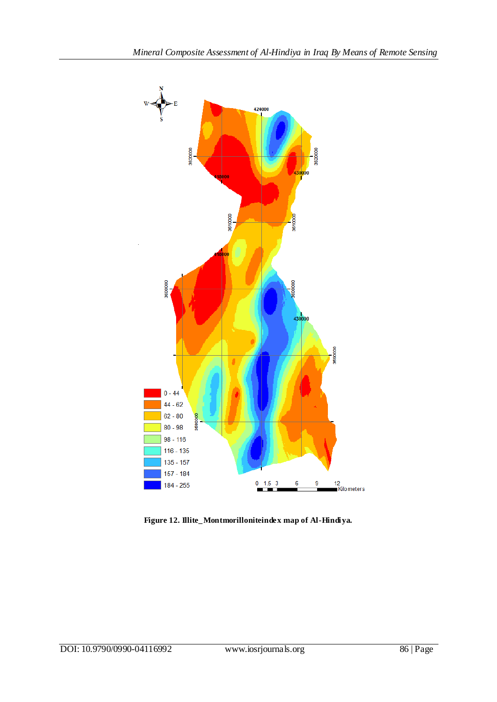

**Figure 12. Illite\_Montmorilloniteindex map of Al-Hindiya.**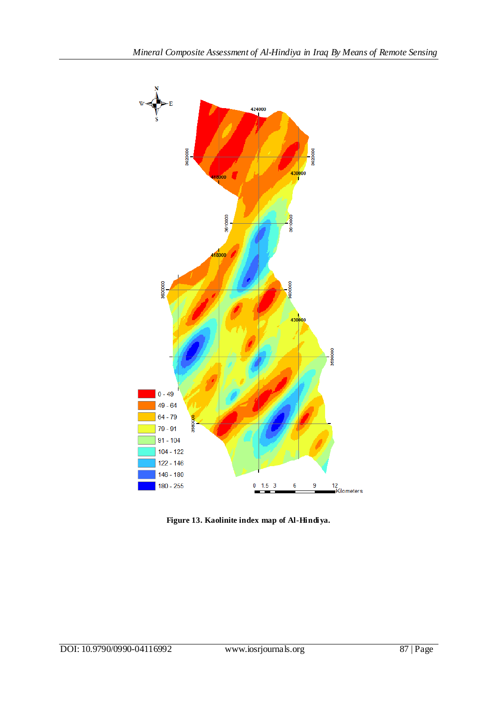

**Figure 13. Kaolinite index map of Al-Hindiya.**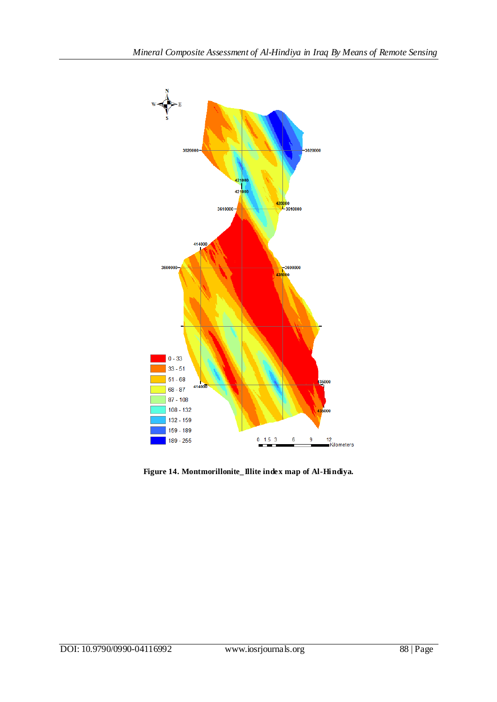

**Figure 14. Montmorillonite\_Illite index map of Al-Hindiya.**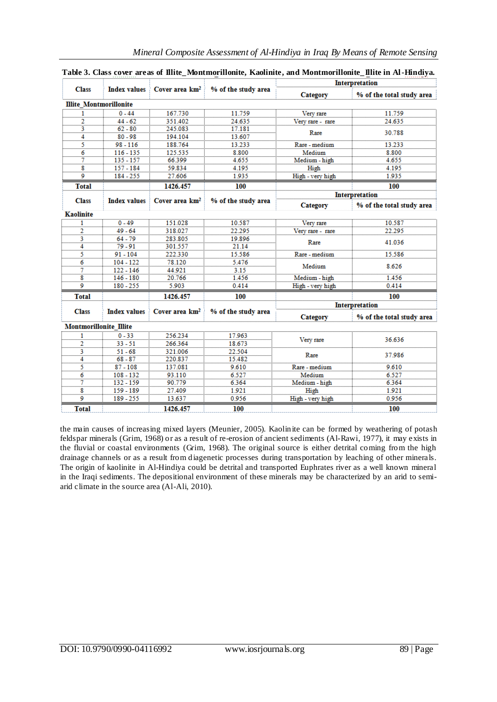|                               | Index values $\frac{1}{2}$ Cover area $km^2$ |                            | % of the study area | Interpretation        |                           |  |
|-------------------------------|----------------------------------------------|----------------------------|---------------------|-----------------------|---------------------------|--|
| <b>Class</b>                  |                                              |                            |                     | Category              | % of the total study area |  |
| <b>Illite Montmorillonite</b> |                                              |                            |                     |                       |                           |  |
| $\overline{1}$                | $0 - 44$                                     | 167.730                    | 11.759              | Very rare             | 11.759                    |  |
| $\overline{2}$                | $44 - 62$                                    | 351.402                    | 24.635              | Very rare - rare      | 24.635                    |  |
| 3                             | $62 - 80$                                    | 245.083                    | 17.181              | Rare                  | 30.788                    |  |
| 4                             | $80 - 98$                                    | 194.104                    | 13.607              |                       |                           |  |
| 5                             | $98 - 116$                                   | 188.764                    | 13.233              | Rare - medium         | 13.233                    |  |
| 6                             | $116 - 135$                                  | 125.535                    | 8.800               | Medium                | 8.800                     |  |
| 7                             | $135 - 157$                                  | 66.399                     | 4.655               | Medium - high         | 4.655                     |  |
| 8                             | $157 - 184$                                  | 59.834                     | 4.195               | High                  | 4.195                     |  |
| 9                             | 184 - 255                                    | 27.606                     | 1.935               | High - very high      | 1.935                     |  |
| <b>Total</b>                  |                                              | 1426.457                   | 100                 |                       | 100                       |  |
|                               |                                              |                            |                     |                       | <b>Interpretation</b>     |  |
| <b>Class</b>                  | <b>Index values</b>                          | Cover area km <sup>2</sup> | % of the study area | Category              | % of the total study area |  |
| <b>Kaolinite</b>              |                                              |                            |                     |                       |                           |  |
| 1                             | $0 - 49$                                     | 151.028                    | 10.587              | Very rare             | 10.587                    |  |
| $\bar{\bar{2}}$               | $49 - 64$                                    | 318.027                    | 22.295              | Very rare - rare      | 22.295                    |  |
| $\frac{3}{4}$                 | 64 - 79                                      | 283.805                    | 19.896              | Rare                  | 41.036                    |  |
|                               | $79 - 91$                                    | 301.557                    | 21.14               |                       |                           |  |
| 5                             | $91 - 104$                                   | 222.330                    | 15.586              | Rare - medium         | 15.586                    |  |
| 6                             | $104 - 122$                                  | 78.120                     | 5.476               | Medium                | 8.626                     |  |
| $\frac{7}{8}$                 | $122 - 146$                                  | 44.921                     | 3.15                |                       |                           |  |
|                               | $146 - 180$                                  | 20.766                     | 1.456               | Medium - high         | 1.456                     |  |
| 9                             | 180 - 255                                    | 5.903                      | 0.414               | High - very high      | 0.414                     |  |
| <b>Total</b>                  |                                              | 1426.457                   | 100                 |                       | 100                       |  |
|                               |                                              |                            |                     | <b>Interpretation</b> |                           |  |
| <b>Class</b>                  | <b>Index values</b>                          | Cover area km <sup>2</sup> | % of the study area | Category              | % of the total study area |  |
| <b>Montmorillonite Illite</b> |                                              |                            |                     |                       |                           |  |
| 1                             | $0 - 33$                                     | 256.234                    | 17.963              |                       |                           |  |
| 2                             | $33 - 51$                                    | 266.364                    | 18.673              | Very rare             | 36.636                    |  |
| 3                             | $51 - 68$                                    | 321.006                    | 22.504              | Rare                  | 37.986                    |  |
| 4                             | $68 - 87$                                    | 220.837                    | 15.482              |                       |                           |  |
| 5                             | $87 - 108$                                   | 137.081                    | 9.610               | Rare - medium         | 9.610                     |  |
| 6                             | $108 - 132$                                  | 93.110                     | 6.527               | Medium                | 6.527                     |  |
| 7                             | $132 - 159$                                  | 90.779                     | 6.364               | Medium - high         | 6.364                     |  |
| 8                             | 159 - 189                                    | 27.409                     | 1.921               | High                  | 1.921                     |  |
| 9                             | 189 - 255                                    | 13.637                     | 0.956               | High - very high      | 0.956                     |  |
| <b>Total</b>                  |                                              | 1426.457                   | 100                 |                       | 100                       |  |

| Table 3. Class cover areas of Illite Montmorillonite, Kaolinite, and Montmorillonite Illite in Al-Hindiya. |  |  |
|------------------------------------------------------------------------------------------------------------|--|--|
|                                                                                                            |  |  |

the main causes of increasing mixed layers (Meunier, 2005). Kaolinite can be formed by weathering of potash feldspar minerals (Grim, 1968) or as a result of re-erosion of ancient sediments (Al-Rawi, 1977), it may exists in the fluvial or coastal environments (Grim, 1968). The original source is either detrital coming from the high drainage channels or as a result from diagenetic processes during transportation by leaching of other minerals. The origin of kaolinite in Al-Hindiya could be detrital and transported Euphrates river as a well known mineral in the Iraqi sediments. The depositional environment of these minerals may be characterized by an arid to semiarid climate in the source area (Al-Ali, 2010).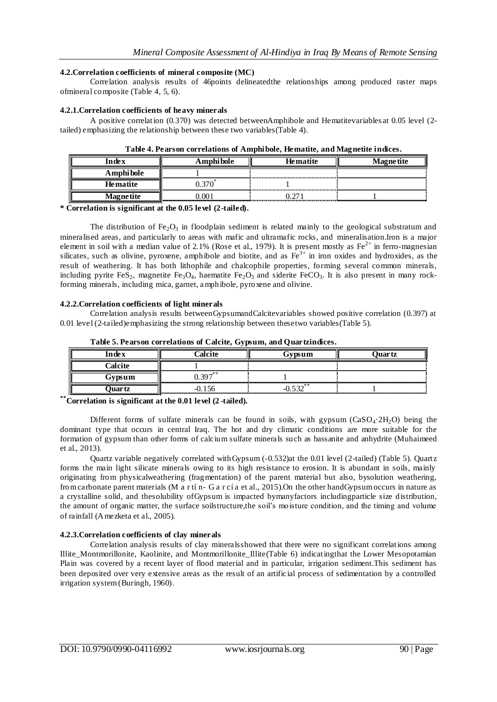### **4.2.Correlation coefficients of mineral composite (MC)**

Correlation analysis results of 46points delineatedthe relationships among produced raster maps ofmineral composite (Table 4, 5, 6).

### **4.2.1.Correlation coefficients of heavy minerals**

A positive correlation (0.370) was detected betweenAmphibole and Hematitevariables at 0.05 level (2 tailed) emphasizing the relationship between these two variables(Table 4).

| l n de x  | Amphi bole                  | <b>Hematite</b> | <b>Magnetite</b> |  |
|-----------|-----------------------------|-----------------|------------------|--|
| Amphibole | --------------------------- |                 |                  |  |
| Hematite  |                             |                 |                  |  |
| Magnetite |                             |                 |                  |  |

**Table 4. Pearson correlations of Amphibole, Hematite, and Magnetite indices.**

**\* Correlation is significant at the 0.05 level (2-tailed).**

The distribution of Fe<sub>2</sub>O<sub>3</sub> in floodplain sediment is related mainly to the geological substratum and mineralised areas, and particularly to areas with mafic and ultramafic rocks, and mineralisation.Iron is a major element in soil with a median value of 2.1% (Rose et al., 1979). It is present mostly as  $Fe^{2+}$  in ferro-magnesian silicates, such as olivine, pyroxene, amphibole and biotite, and as  $Fe<sup>3+</sup>$  in iron oxides and hydroxides, as the result of weathering. It has both lithophile and chalcophile properties, forming several common minerals, including pyrite FeS<sub>2</sub>, magnetite Fe<sub>3</sub>O<sub>4</sub>, haematite Fe<sub>2</sub>O<sub>3</sub> and siderite FeCO<sub>3</sub>. It is also present in many rockforming minerals, including mica, garnet, amphibole, pyroxene and olivine.

### **4.2.2.Correlation coefficients of light minerals**

Correlation analysis results betweenGypsumandCalcitevariables showed positive correlation (0.397) at 0.01 level (2-tailed)emphasizing the strong relationship between thesetwo variables(Table 5).

| ndev           |            |  |  |  |
|----------------|------------|--|--|--|
| <b>Ealcite</b> |            |  |  |  |
| Gypsum         | $0.307***$ |  |  |  |
| Juar tz        |            |  |  |  |

**Table 5. Pearson correlations of Calcite, Gypsum, and Quartzindices.**

**\*\*Correlation is significant at the 0.01 level (2 -tailed).**

Different forms of sulfate minerals can be found in soils, with gypsum  $(CaSO_4.2H_2O)$  being the dominant type that occurs in central Iraq. The hot and dry climatic conditions are more suitable for the formation of gypsum than other forms of calcium sulfate minerals such as bassanite and anhydrite (Muhaimeed et al., 2013).

Quartz variable negatively correlated withGypsum (-0.532)at the 0.01 level (2-tailed) (Table 5). Quartz forms the main light silicate minerals owing to its high resistance to erosion. It is abundant in soils, mainly originating from physicalweathering (fragmentation) of the parent material but also, bysolution weathering, from carbonate parent materials (M a r tí n- G a r cí a et al., 2015).On the other handGypsum occurs in nature as a crystalline solid, and thesolubility ofGypsum is impacted bymanyfactors includingparticle size distribution, the amount of organic matter, the surface soilstructure,the soil's moisture condition, and the timing and volume of rainfall (Amezketa et al., 2005).

### **4.2.3.Correlation coefficients of clay minerals**

Correlation analysis results of clay mineralsshowed that there were no significant correlations among Illite\_Montmorillonite, Kaolinite, and Montmorillonite\_Illite(Table 6) indicatingthat the Lower Mesopotamian Plain was covered by a recent layer of flood material and in particular, irrigation sediment.This sediment has been deposited over very extensive areas as the result of an artificial process of sedimentation by a controlled irrigation system (Buringh, 1960).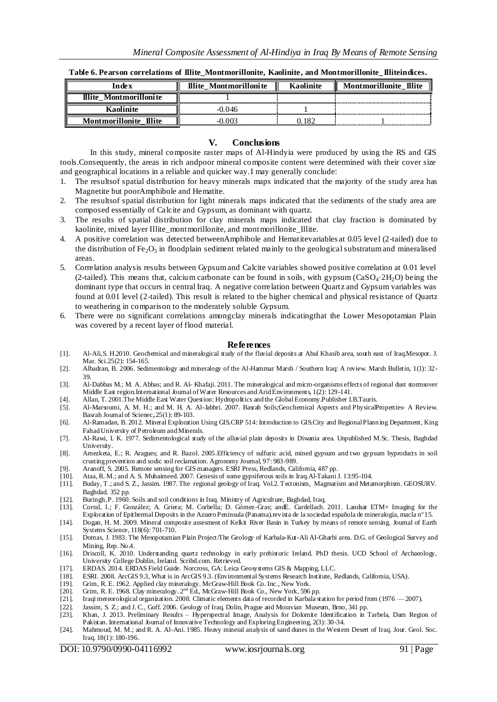**Table 6. Pearson correlations of Illite\_Montmorillonite, Kaolinite, and Montmorillonite\_Illiteindices.**

| in de v                      | Illite Montmorillonite<br>Ш | <b>Montmorillonite Illite</b> |  |
|------------------------------|-----------------------------|-------------------------------|--|
| Illite Montmorillonite<br>║  |                             |                               |  |
|                              | ) () 46                     |                               |  |
| II<br><b>Montmorillonite</b> |                             |                               |  |

#### **V. Conclusions**

In this study, mineral composite raster maps of Al-Hindyia were produced by using the RS and GIS tools.Consequently, the areas in rich andpoor mineral composite content were determined with their cover size and geographical locations in a reliable and quicker way.I may generally conclude:

- 1. The resultsof spatial distribution for heavy minerals maps indicated that the majority of the study area has Magnetite but poorAmphibole and Hematite.
- 2. The resultsof spatial distribution for light minerals maps indicated that the sediments of the study area are composed essentially of Calcite and Gypsum, as dominant with quartz.
- 3. The results of spatial distribution for clay minerals maps indicated that clay fraction is dominated by kaolinite, mixed layer Illite montmorillonite, and montmorillonite Illite.
- 4. A positive correlation was detected betweenAmphibole and Hematitevariables at 0.05 level (2-tailed) due to the distribution of  $Fe<sub>2</sub>O<sub>3</sub>$  in floodplain sediment related mainly to the geological substratum and mineralised areas.
- 5. Correlation analysis results between Gypsum and Calcite variables showed positive correlation at 0.01 level (2-tailed). This means that, calcium carbonate can be found in soils, with gypsum ( $CaSO_4.2H_2O$ ) being the dominant type that occurs in central Iraq. A negative correlation between Quartz and Gypsum variables was found at 0.01 level (2-tailed). This result is related to the higher chemical and physical resistance of Quartz to weathering in comparison to the moderately soluble Gypsum.
- 6. There were no significant correlations amongclay minerals indicatingthat the Lower Mesopotamian Plain was covered by a recent layer of flood material.

#### **References**

- [1]. Al-Ali,S. H.2010. Geochemical and mineralogical study of the fluvial deposits at Abul Khasib area, south east of Iraq.Mesopot. J. Mar. Sci.25(2): 154-165.
- [2]. Albadran, B. 2006. Sedimentology and mineralogy of the Al-Hammar Marsh / Southern Iraq: A review. Marsh Bulletin, 1(1): 32- 39.
- [3]. Al-Dabbas M.; M. A. Abbas; and R. Al- Khafaji. 2011. The mineralogical and micro-organisms effects of regional dust stormsover Middle East region.International Journal of Water Resources and Arid Environments, 1(2): 129-141.
- [4]. Allan, T. 2001.The Middle East Water Question: Hydropolitics and the Global Economy.Publisher I.B.Tauris.
- [5]. Al-Marsoumi, A. M. H.; and M. H. A. Al-Jabbri. 2007. Basrah Soils;Geochemical Aspects and PhysicalProperties- A Review. Basrah Journal of Scienec, 25(1): 89-103.
- [6]. Al-Ramadan, B. 2012. Mineral Exploration Using GIS.CRP 514: Introduction to GIS.City and Regional Plann ing Department, King Fahad University of Petroleum and Minerals.
- [7]. Al-Rawi, I. K. 1977. Sedimentological study of the alluvial plain deposits in Diwania area. Unpublished M.Sc. Thesis, Baghdad University.
- [8]. Amezketa, E.; R. Aragues; and R. Bazol. 2005.Efficiency of sulfuric acid, mined gypsum and two gypsum byproducts in soil crusting prevention and sodic soil reclamation. Agronomy Journal, 97: 983-989.
- [9]. Aranoff, S. 2005. Remote sensing for GIS managers. ESRI Press, Redlands, California, 487 pp.
- [10]. Ataa, R. M.; and A. S. Muhaimeed. 2007. Genesis of some gypsiferous soils in Iraq.Al-Takani J. 13:95-104. [11]. Buday, T.; and S. Z., Jassim. 1987. The regional geology of Iraq. Vol.2. Tectonism, Magmatism and Meta
- [11]. Buday, T.; and S. Z., Jassim. 1987. The regional geology of Iraq. Vol.2. Tectonism, Magmatism and Metamorphism. GEOSURV. Baghdad. 352 pp.
- [12]. Buringh, P. 1960. Soils and soil conditions in Iraq. Ministry of Agriculture, Baghdad, Iraq. [13]. Corral, I.; F. González; A. Griera; M. Corbella; D. Gómez-Gras; and E. Cardellach.
- [13]. Corral, I.; F. González; A. Griera; M. Corbella; D. Gómez-Gras; andE. Cardellach. 2011. Landsat ETM+ Imaging for the Exploration of Epithermal Deposits in the Azuero Peninsula (Panama).revista de la sociedad española de mineralogía, macla nº 15.
- [14]. Dogan, H. M. 2009. Mineral composite assesment of Kelkit River Basin in Turkey by means of remote sensing. Journal of Earth Systems Science, 118(6): 701-710.
- [15]. Domas, J. 1983. The Mesopotamian Plain Project/The Geology of Karbala-Kut-Ali Al-Gharbi area. D.G. of Geological Survey and Mining, Rep. No.4.
- [16]. Driscoll, K. 2010. Understanding quartz technology in early prehistoric Ireland. PhD thesis. UCD School of Archaeology, University College Dublin, Ireland. Scribd.com. Retrieved.
- [17]. ERDAS. 2014. ERDAS Field Guide. Norcross, GA: Leica Geosystems GIS & Mapping, LLC.
- [18]. ESRI. 2008. ArcGIS 9.3, What is in ArcGIS 9.3. (Environmental Systems Research Institute, Redlands, California, USA).
- [19]. Grim, R. E. 1962. Applied clay mineralogy. McGraw-Hill Book Co. Inc., New York.  $[20]$ . Grim, R. E. 1968. Clay mineralogy.  $2<sup>nd</sup> Ed$ , McGraw-Hill Book Co., New York, 596
- [20]. Grim, R. E. 1968. Clay mineralogy.  $2<sup>nd</sup> Ed$ , McGraw-Hill Book Co., New York, 596 pp. [21]. Iraqi meteorological organization. 2008. Climatic elements data of recorded in Karbala s
- [21]. Iraqi meteorological organization. 2008. Climatic elements data of recorded in Karbala station for period from (1976 2007).
- [22]. Jassim, S. Z.; and J. C., Goff. 2006. Geology of Iraq. Dolin, Prague and Moravian Museum, Brno, 341 pp. [23]. Khan, J. 2013. Preliminary Results Hyperspectral Image, Analysis for Dolomite Identification in
- [23]. Khan, J. 2013. Preliminary Results Hyperspectral Image, Analysis for Dolomite Identification in Tarbela, Dam Region of Pakistan. International Journal of Innovative Technology and Exploring Engineering, 2(3): 30-34.
- [24]. Mahmoud, M. M.; and R. A. Al-Ani. 1985. Heavy mineral analysis of sand dunes in the Western Desert of Iraq. Jour. Geol. Soc. Iraq. 18(1): 180-196.